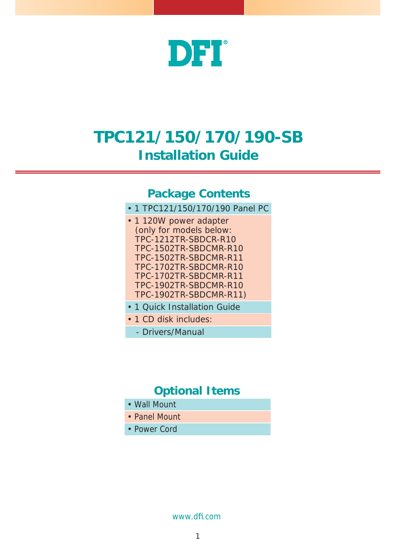

### **TPC121/150/170/190-SB Installation Guide**

#### **Package Contents**

- 1 TPC121/150/170/190 Panel PC
- 1 120W power adapter (only for models below: TPC-1212TR-SBDCR-R10 TPC-1502TR-SBDCMR-R10 TPC-1502TR-SBDCMR-R11 TPC-1702TR-SBDCMR-R10 TPC-1702TR-SBDCMR-R11 TPC-1902TR-SBDCMR-R10 TPC-1902TR-SBDCMR-R11)
- 1 Quick Installation Guide
- 1 CD disk includes:
- Drivers/Manual

### **Optional Items**

- Wall Mount
- Panel Mount
- Power Cord

www.dfi .com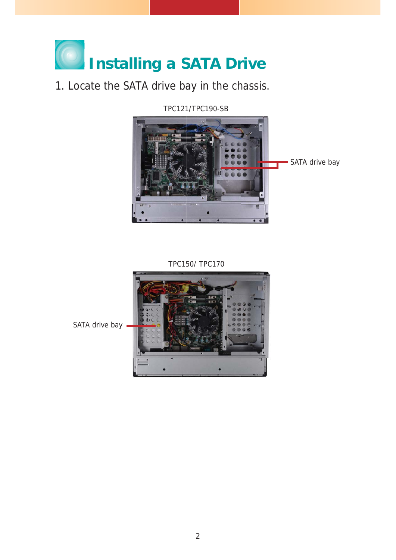# **Installing a SATA Drive**

### 1. Locate the SATA drive bay in the chassis.

TPC121/TPC190-SB



TPC150/ TPC170

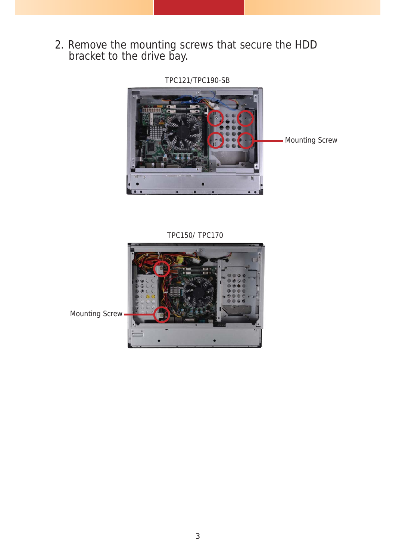2. Remove the mounting screws that secure the HDD bracket to the drive bay.

TPC121/TPC190-SB



TPC150/ TPC170

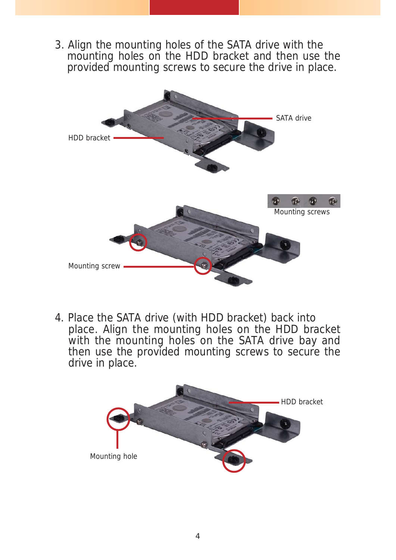3. Align the mounting holes of the SATA drive with the mounting holes on the HDD bracket and then use the provided mounting screws to secure the drive in place.



4. Place the SATA drive (with HDD bracket) back into place. Align the mounting holes on the HDD bracket with the mounting holes on the SATA drive bay and then use the provided mounting screws to secure the drive in place.

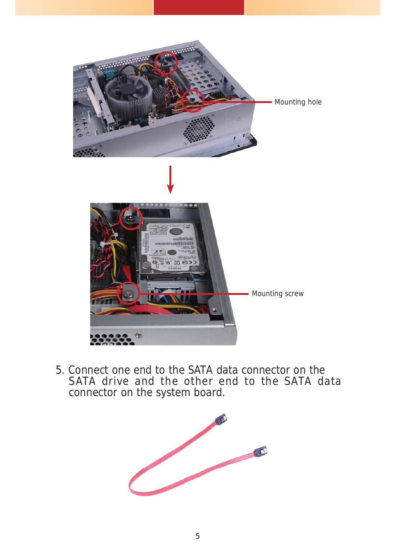

5. Connect one end to the SATA data connector on the SATA drive and the other end to the SATA data connector on the system board.

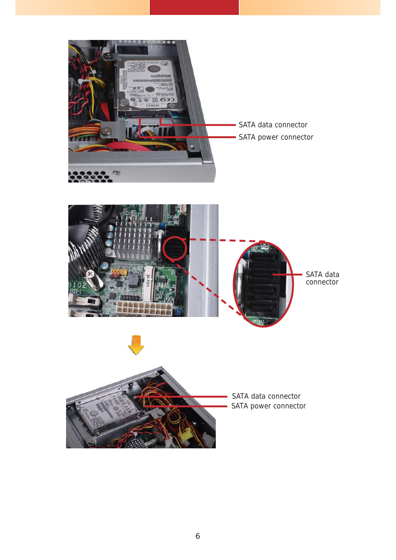